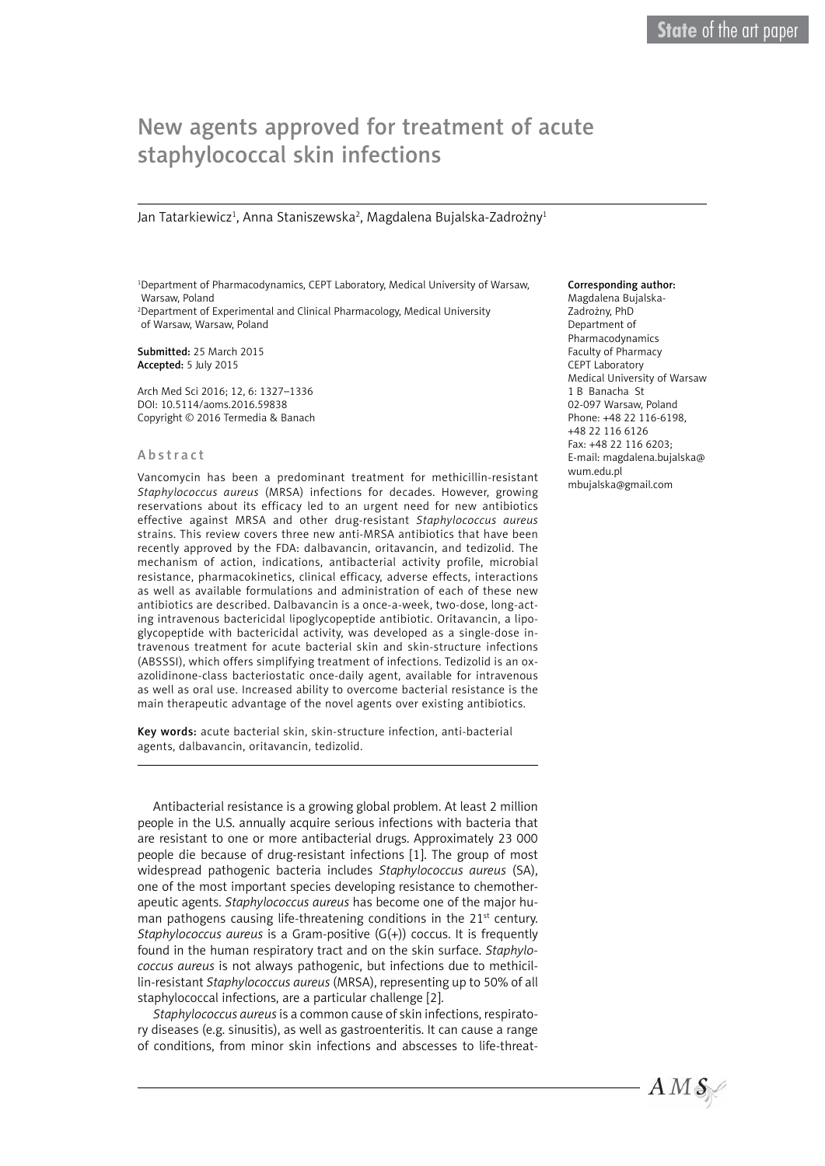# New agents approved for treatment of acute staphylococcal skin infections

Jan Tatarkiewicz<sup>1</sup>, Anna Staniszewska<sup>2</sup>, Magdalena Bujalska-Zadrożny<sup>1</sup>

1 Department of Pharmacodynamics, CEPT Laboratory, Medical University of Warsaw, Warsaw, Poland 2 Department of Experimental and Clinical Pharmacology, Medical University of Warsaw, Warsaw, Poland

Submitted: 25 March 2015 Accepted: 5 July 2015

Arch Med Sci 2016; 12, 6: 1327–1336 DOI: 10.5114/aoms.2016.59838 Copyright © 2016 Termedia & Banach

#### Abstract

Vancomycin has been a predominant treatment for methicillin-resistant *Staphylococcus aureus* (MRSA) infections for decades. However, growing reservations about its efficacy led to an urgent need for new antibiotics effective against MRSA and other drug-resistant *Staphylococcus aureus* strains. This review covers three new anti-MRSA antibiotics that have been recently approved by the FDA: dalbavancin, oritavancin, and tedizolid. The mechanism of action, indications, antibacterial activity profile, microbial resistance, pharmacokinetics, clinical efficacy, adverse effects, interactions as well as available formulations and administration of each of these new antibiotics are described. Dalbavancin is a once-a-week, two-dose, long-acting intravenous bactericidal lipoglycopeptide antibiotic. Oritavancin, a lipoglycopeptide with bactericidal activity, was developed as a single-dose intravenous treatment for acute bacterial skin and skin-structure infections (ABSSSI), which offers simplifying treatment of infections. Tedizolid is an oxazolidinone-class bacteriostatic once-daily agent, available for intravenous as well as oral use. Increased ability to overcome bacterial resistance is the main therapeutic advantage of the novel agents over existing antibiotics.

Key words: acute bacterial skin, skin-structure infection, anti-bacterial agents, dalbavancin, oritavancin, tedizolid.

Antibacterial resistance is a growing global problem. At least 2 million people in the U.S. annually acquire serious infections with bacteria that are resistant to one or more antibacterial drugs. Approximately 23 000 people die because of drug-resistant infections [1]. The group of most widespread pathogenic bacteria includes *Staphylococcus aureus* (SA), one of the most important species developing resistance to chemotherapeutic agents. *Staphylococcus aureus* has become one of the major human pathogens causing life-threatening conditions in the 21<sup>st</sup> century. *Staphylococcus aureus* is a Gram-positive (G(+)) coccus. It is frequently found in the human respiratory tract and on the skin surface. *Staphylococcus aureus* is not always pathogenic, but infections due to methicillin-resistant *Staphylococcus aureus* (MRSA), representing up to 50% of all staphylococcal infections, are a particular challenge [2].

*Staphylococcus aureus* is a common cause of skin infections, respiratory diseases (e.g. sinusitis), as well as gastroenteritis. It can cause a range of conditions, from minor skin infections and abscesses to life-threat-

# Corresponding author:

Magdalena Bujalska-Zadrożny, PhD Department of Pharmacodynamics Faculty of Pharmacy CEPT Laboratory Medical University of Warsaw 1 B Banacha St 02-097 Warsaw, Poland Phone: +48 22 116-6198, +48 22 116 6126 Fax: +48 22 116 6203; E-mail: magdalena.bujalska@ wum.edu.pl mbujalska@gmail.com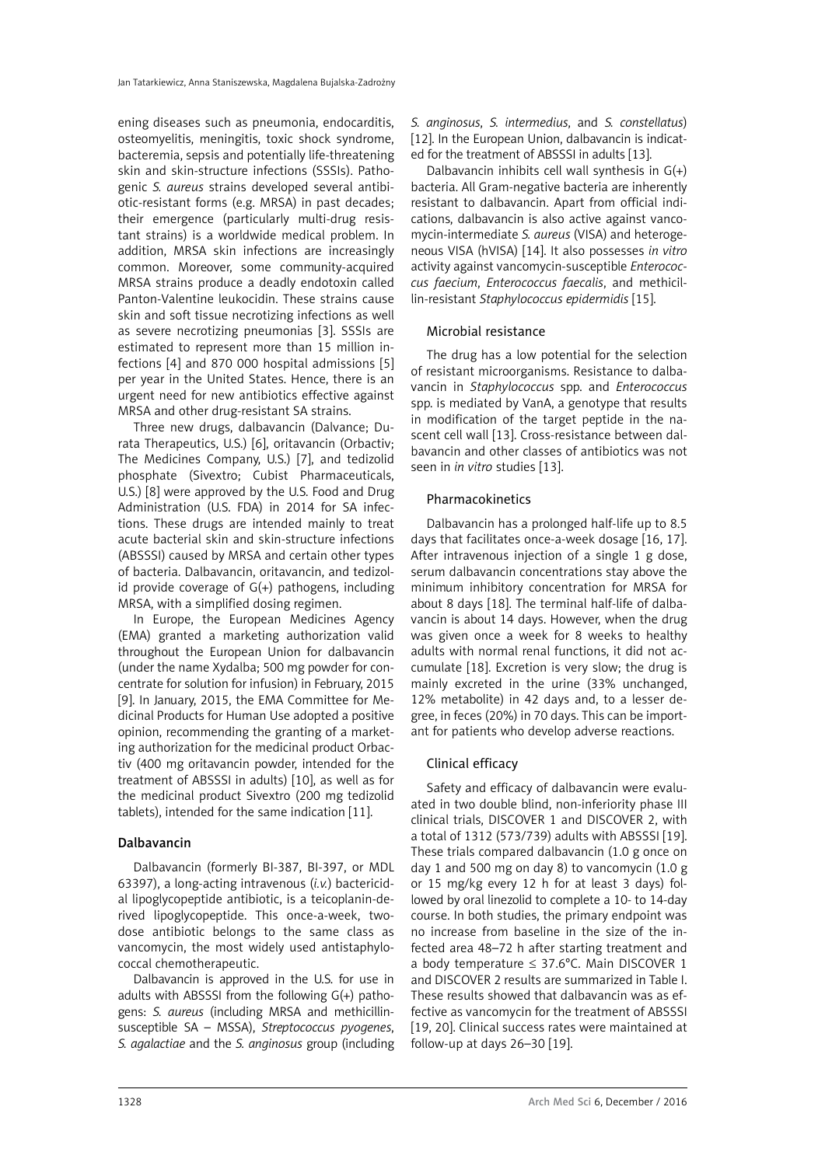ening diseases such as pneumonia, endocarditis, osteomyelitis, meningitis, toxic shock syndrome, bacteremia, sepsis and potentially life-threatening skin and skin-structure infections (SSSIs). Pathogenic *S. aureus* strains developed several antibiotic-resistant forms (e.g. MRSA) in past decades; their emergence (particularly multi-drug resistant strains) is a worldwide medical problem. In addition, MRSA skin infections are increasingly common. Moreover, some community-acquired MRSA strains produce a deadly endotoxin called Panton-Valentine leukocidin. These strains cause skin and soft tissue necrotizing infections as well as severe necrotizing pneumonias [3]. SSSIs are estimated to represent more than 15 million infections [4] and 870 000 hospital admissions [5] per year in the United States. Hence, there is an urgent need for new antibiotics effective against MRSA and other drug-resistant SA strains.

Three new drugs, dalbavancin (Dalvance; Durata Therapeutics, U.S.) [6], oritavancin (Orbactiv; The Medicines Company, U.S.) [7], and tedizolid phosphate (Sivextro; Cubist Pharmaceuticals, U.S.) [8] were approved by the U.S. Food and Drug Administration (U.S. FDA) in 2014 for SA infections. These drugs are intended mainly to treat acute bacterial skin and skin-structure infections (ABSSSI) caused by MRSA and certain other types of bacteria. Dalbavancin, oritavancin, and tedizolid provide coverage of G(+) pathogens, including MRSA, with a simplified dosing regimen.

In Europe, the European Medicines Agency (EMA) granted a marketing authorization valid throughout the European Union for dalbavancin (under the name Xydalba; 500 mg powder for concentrate for solution for infusion) in February, 2015 [9]. In January, 2015, the EMA Committee for Medicinal Products for Human Use adopted a positive opinion, recommending the granting of a marketing authorization for the medicinal product Orbactiv (400 mg oritavancin powder, intended for the treatment of ABSSSI in adults) [10], as well as for the medicinal product Sivextro (200 mg tedizolid tablets), intended for the same indication [11].

## Dalbavancin

Dalbavancin (formerly BI-387, BI-397, or MDL 63397), a long-acting intravenous (*i.v.*) bactericidal lipoglycopeptide antibiotic, is a teicoplanin-derived lipoglycopeptide. This once-a-week, twodose antibiotic belongs to the same class as vancomycin, the most widely used antistaphylococcal chemotherapeutic.

Dalbavancin is approved in the U.S. for use in adults with ABSSSI from the following  $G(+)$  pathogens: *S. aureus* (including MRSA and methicillinsusceptible SA – MSSA), *Streptococcus pyogenes*, *S. agalactiae* and the *S. anginosus* group (including

*S. anginosus*, *S. intermedius*, and *S. constellatus*) [12]. In the European Union, dalbavancin is indicated for the treatment of ABSSSI in adults [13].

Dalbavancin inhibits cell wall synthesis in G(+) bacteria. All Gram-negative bacteria are inherently resistant to dalbavancin. Apart from official indications, dalbavancin is also active against vancomycin-intermediate *S. aureus* (VISA) and heterogeneous VISA (hVISA) [14]. It also possesses *in vitro* activity against vancomycin-susceptible *Enterococcus faecium*, *Enterococcus faecalis*, and methicillin-resistant *Staphylococcus epidermidis* [15].

# Microbial resistance

The drug has a low potential for the selection of resistant microorganisms. Resistance to dalbavancin in *Staphylococcus* spp. and *Enterococcus*  spp. is mediated by VanA, a genotype that results in modification of the target peptide in the nascent cell wall [13]. Cross-resistance between dalbavancin and other classes of antibiotics was not seen in *in vitro* studies [13].

## Pharmacokinetics

Dalbavancin has a prolonged half-life up to 8.5 days that facilitates once-a-week dosage [16, 17]. After intravenous injection of a single 1 g dose, serum dalbavancin concentrations stay above the minimum inhibitory concentration for MRSA for about 8 days [18]. The terminal half-life of dalbavancin is about 14 days. However, when the drug was given once a week for 8 weeks to healthy adults with normal renal functions, it did not accumulate [18]. Excretion is very slow; the drug is mainly excreted in the urine (33% unchanged, 12% metabolite) in 42 days and, to a lesser degree, in feces (20%) in 70 days. This can be important for patients who develop adverse reactions.

## Clinical efficacy

Safety and efficacy of dalbavancin were evaluated in two double blind, non-inferiority phase III clinical trials, DISCOVER 1 and DISCOVER 2, with a total of 1312 (573/739) adults with ABSSSI [19]. These trials compared dalbavancin (1.0 g once on day 1 and 500 mg on day 8) to vancomycin (1.0 g or 15 mg/kg every 12 h for at least 3 days) followed by oral linezolid to complete a 10- to 14-day course. In both studies, the primary endpoint was no increase from baseline in the size of the infected area 48–72 h after starting treatment and a body temperature ≤ 37.6°C. Main DISCOVER 1 and DISCOVER 2 results are summarized in Table I. These results showed that dalbavancin was as effective as vancomycin for the treatment of ABSSSI [19, 20]. Clinical success rates were maintained at follow-up at days 26–30 [19].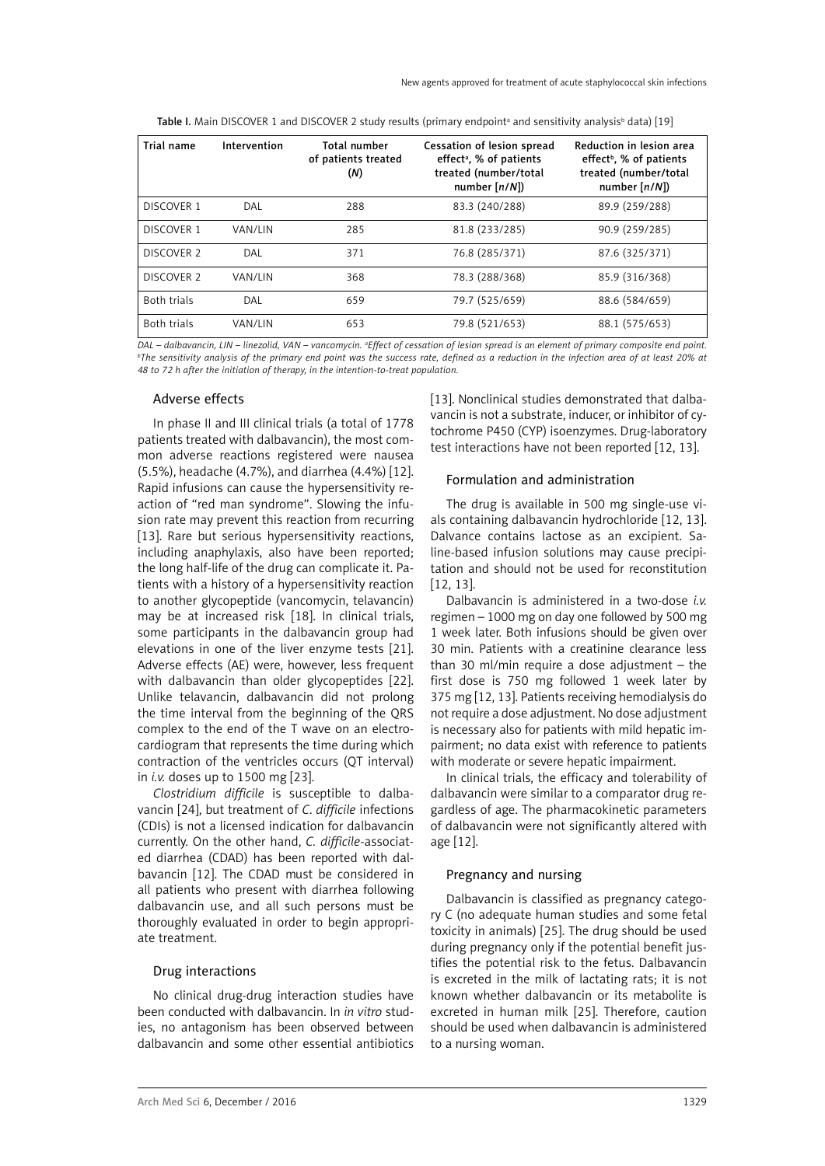| Table I. Main DISCOVER 1 and DISCOVER 2 study results (primary endpoint <sup>a</sup> and sensitivity analysis <sup>b</sup> data) [19] |  |
|---------------------------------------------------------------------------------------------------------------------------------------|--|
|---------------------------------------------------------------------------------------------------------------------------------------|--|

| Trial name  | Intervention | Total number<br>of patients treated<br>(N) | Cessation of lesion spread<br>effect <sup>a</sup> , % of patients<br>treated (number/total<br>number $[n/N]$ | Reduction in lesion area<br>effect <sup>b</sup> , % of patients<br>treated (number/total<br>number $[n/N]$ |
|-------------|--------------|--------------------------------------------|--------------------------------------------------------------------------------------------------------------|------------------------------------------------------------------------------------------------------------|
| DISCOVER 1  | DAL          | 288                                        | 83.3 (240/288)                                                                                               | 89.9 (259/288)                                                                                             |
| DISCOVER 1  | VAN/LIN      | 285                                        | 81.8 (233/285)                                                                                               | 90.9 (259/285)                                                                                             |
| DISCOVER 2  | DAL          | 371                                        | 76.8 (285/371)                                                                                               | 87.6 (325/371)                                                                                             |
| DISCOVER 2  | VAN/LIN      | 368                                        | 78.3 (288/368)                                                                                               | 85.9 (316/368)                                                                                             |
| Both trials | DAL          | 659                                        | 79.7 (525/659)                                                                                               | 88.6 (584/659)                                                                                             |
| Both trials | VAN/LIN      | 653                                        | 79.8 (521/653)                                                                                               | 88.1 (575/653)                                                                                             |

*DAL – dalbavancin, LIN – linezolid, VAN – vancomycin. a Effect of cessation of lesion spread is an element of primary composite end point. b The sensitivity analysis of the primary end point was the success rate, defined as a reduction in the infection area of at least 20% at 48 to 72 h after the initiation of therapy, in the intention-to-treat population.* 

#### Adverse effects

In phase II and III clinical trials (a total of 1778 patients treated with dalbavancin), the most common adverse reactions registered were nausea (5.5%), headache (4.7%), and diarrhea (4.4%) [12]. Rapid infusions can cause the hypersensitivity reaction of "red man syndrome". Slowing the infusion rate may prevent this reaction from recurring [13]. Rare but serious hypersensitivity reactions, including anaphylaxis, also have been reported; the long half-life of the drug can complicate it. Patients with a history of a hypersensitivity reaction to another glycopeptide (vancomycin, telavancin) may be at increased risk [18]. In clinical trials, some participants in the dalbavancin group had elevations in one of the liver enzyme tests [21]. Adverse effects (AE) were, however, less frequent with dalbavancin than older glycopeptides [22]. Unlike telavancin, dalbavancin did not prolong the time interval from the beginning of the QRS complex to the end of the T wave on an electrocardiogram that represents the time during which contraction of the ventricles occurs (QT interval) in *i.v.* doses up to 1500 mg [23].

*Clostridium difficile* is susceptible to dalbavancin [24], but treatment of *C*. *difficile* infections (CDIs) is not a licensed indication for dalbavancin currently. On the other hand, *C. difficile*-associated diarrhea (CDAD) has been reported with dalbavancin [12]. The CDAD must be considered in all patients who present with diarrhea following dalbavancin use, and all such persons must be thoroughly evaluated in order to begin appropriate treatment.

#### Drug interactions

No clinical drug-drug interaction studies have been conducted with dalbavancin. In *in vitro* studies, no antagonism has been observed between dalbavancin and some other essential antibiotics [13]. Nonclinical studies demonstrated that dalbavancin is not a substrate, inducer, or inhibitor of cytochrome P450 (CYP) isoenzymes. Drug-laboratory test interactions have not been reported [12, 13].

## Formulation and administration

The drug is available in 500 mg single-use vials containing dalbavancin hydrochloride [12, 13]. Dalvance contains lactose as an excipient. Saline-based infusion solutions may cause precipitation and should not be used for reconstitution [12, 13].

Dalbavancin is administered in a two-dose *i.v.* regimen – 1000 mg on day one followed by 500 mg 1 week later. Both infusions should be given over 30 min. Patients with a creatinine clearance less than 30 ml/min require a dose adjustment  $-$  the first dose is 750 mg followed 1 week later by 375 mg [12, 13]. Patients receiving hemodialysis do not require a dose adjustment. No dose adjustment is necessary also for patients with mild hepatic impairment; no data exist with reference to patients with moderate or severe hepatic impairment.

In clinical trials, the efficacy and tolerability of dalbavancin were similar to a comparator drug regardless of age. The pharmacokinetic parameters of dalbavancin were not significantly altered with age [12].

#### Pregnancy and nursing

Dalbavancin is classified as pregnancy category C (no adequate human studies and some fetal toxicity in animals) [25]. The drug should be used during pregnancy only if the potential benefit justifies the potential risk to the fetus. Dalbavancin is excreted in the milk of lactating rats; it is not known whether dalbavancin or its metabolite is excreted in human milk [25]. Therefore, caution should be used when dalbavancin is administered to a nursing woman.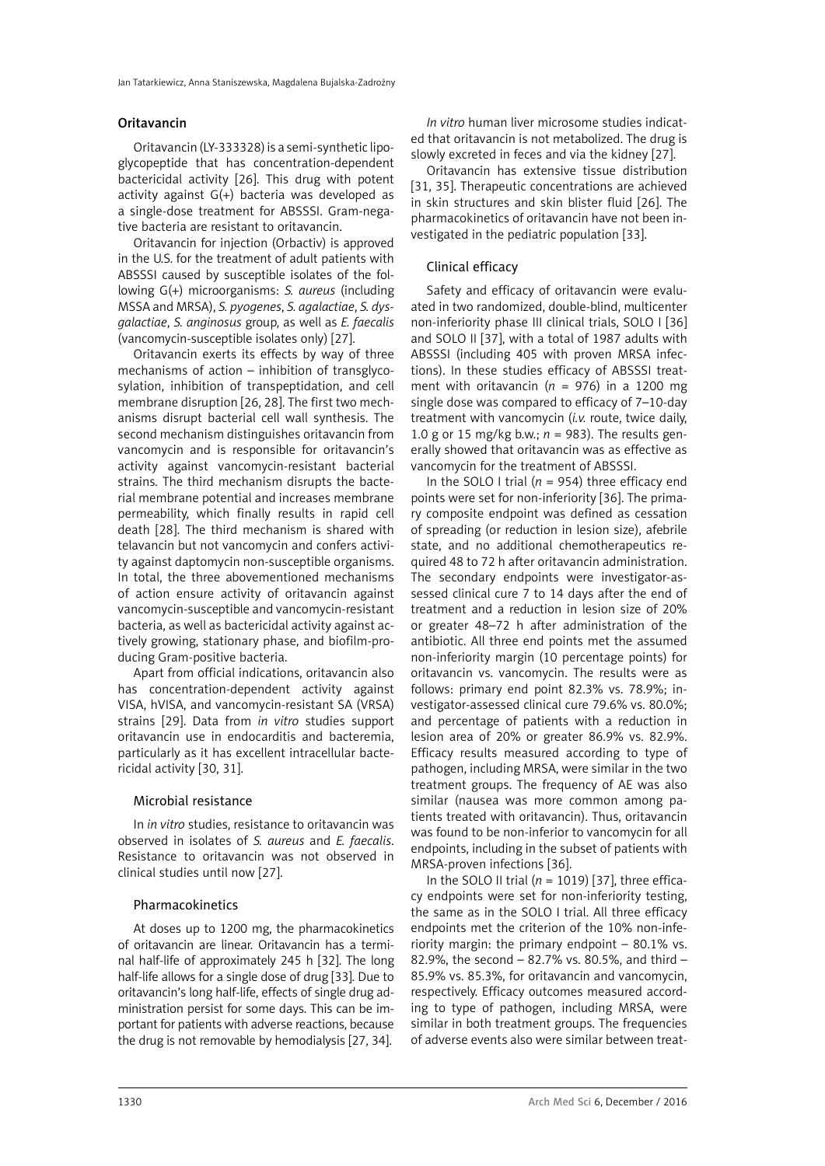#### Oritavancin

Oritavancin (LY-333328) is a semi-synthetic lipoglycopeptide that has concentration-dependent bactericidal activity [26]. This drug with potent activity against  $G(+)$  bacteria was developed as a single-dose treatment for ABSSSI. Gram-negative bacteria are resistant to oritavancin.

Oritavancin for injection (Orbactiv) is approved in the U.S. for the treatment of adult patients with ABSSSI caused by susceptible isolates of the following G(+) microorganisms: *S. aureus* (including MSSA and MRSA), *S. pyogenes*, *S. agalactiae*, *S. dysgalactiae*, *S. anginosus* group, as well as *E. faecalis* (vancomycin-susceptible isolates only) [27].

Oritavancin exerts its effects by way of three mechanisms of action – inhibition of transglycosylation, inhibition of transpeptidation, and cell membrane disruption [26, 28]. The first two mechanisms disrupt bacterial cell wall synthesis. The second mechanism distinguishes oritavancin from vancomycin and is responsible for oritavancin's activity against vancomycin-resistant bacterial strains. The third mechanism disrupts the bacterial membrane potential and increases membrane permeability, which finally results in rapid cell death [28]. The third mechanism is shared with telavancin but not vancomycin and confers activity against daptomycin non-susceptible organisms. In total, the three abovementioned mechanisms of action ensure activity of oritavancin against vancomycin-susceptible and vancomycin-resistant bacteria, as well as bactericidal activity against actively growing, stationary phase, and biofilm-producing Gram-positive bacteria.

Apart from official indications, oritavancin also has concentration-dependent activity against VISA, hVISA, and vancomycin-resistant SA (VRSA) strains [29]. Data from *in vitro* studies support oritavancin use in endocarditis and bacteremia, particularly as it has excellent intracellular bactericidal activity [30, 31].

#### Microbial resistance

In *in vitro* studies, resistance to oritavancin was observed in isolates of *S. aureus* and *E. faecalis*. Resistance to oritavancin was not observed in clinical studies until now [27].

## Pharmacokinetics

At doses up to 1200 mg, the pharmacokinetics of oritavancin are linear. Oritavancin has a terminal half-life of approximately 245 h [32]. The long half-life allows for a single dose of drug [33]. Due to oritavancin's long half-life, effects of single drug administration persist for some days. This can be important for patients with adverse reactions, because the drug is not removable by hemodialysis [27, 34].

*In vitro* human liver microsome studies indicated that oritavancin is not metabolized. The drug is slowly excreted in feces and via the kidney [27].

Oritavancin has extensive tissue distribution [31, 35]. Therapeutic concentrations are achieved in skin structures and skin blister fluid [26]. The pharmacokinetics of oritavancin have not been investigated in the pediatric population [33].

## Clinical efficacy

Safety and efficacy of oritavancin were evaluated in two randomized, double-blind, multicenter non-inferiority phase III clinical trials, SOLO I [36] and SOLO II [37], with a total of 1987 adults with ABSSSI (including 405 with proven MRSA infections). In these studies efficacy of ABSSSI treatment with oritavancin ( $n = 976$ ) in a 1200 mg single dose was compared to efficacy of 7–10-day treatment with vancomycin (*i.v.* route, twice daily, 1.0 g or 15 mg/kg b.w.;  $n = 983$ ). The results generally showed that oritavancin was as effective as vancomycin for the treatment of ABSSSI.

In the SOLO I trial  $(n = 954)$  three efficacy end points were set for non-inferiority [36]. The primary composite endpoint was defined as cessation of spreading (or reduction in lesion size), afebrile state, and no additional chemotherapeutics required 48 to 72 h after oritavancin administration. The secondary endpoints were investigator-assessed clinical cure 7 to 14 days after the end of treatment and a reduction in lesion size of 20% or greater 48–72 h after administration of the antibiotic. All three end points met the assumed non-inferiority margin (10 percentage points) for oritavancin vs. vancomycin. The results were as follows: primary end point 82.3% vs. 78.9%; investigator-assessed clinical cure 79.6% vs. 80.0%; and percentage of patients with a reduction in lesion area of 20% or greater 86.9% vs. 82.9%. Efficacy results measured according to type of pathogen, including MRSA, were similar in the two treatment groups. The frequency of AE was also similar (nausea was more common among patients treated with oritavancin). Thus, oritavancin was found to be non-inferior to vancomycin for all endpoints, including in the subset of patients with MRSA-proven infections [36].

In the SOLO II trial (*n* = 1019) [37], three efficacy endpoints were set for non-inferiority testing, the same as in the SOLO I trial. All three efficacy endpoints met the criterion of the 10% non-inferiority margin: the primary endpoint – 80.1% vs. 82.9%, the second – 82.7% vs. 80.5%, and third – 85.9% vs. 85.3%, for oritavancin and vancomycin, respectively. Efficacy outcomes measured according to type of pathogen, including MRSA, were similar in both treatment groups. The frequencies of adverse events also were similar between treat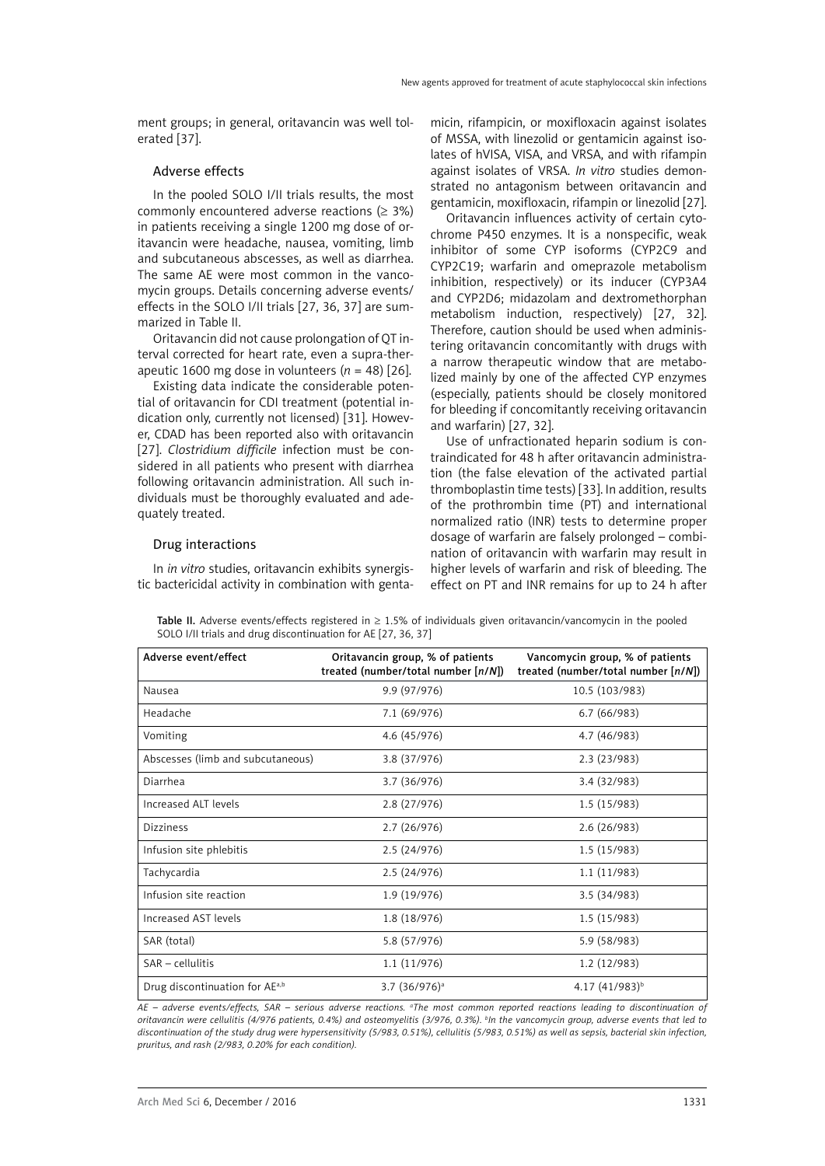ment groups; in general, oritavancin was well tolerated [37].

#### Adverse effects

In the pooled SOLO I/II trials results, the most commonly encountered adverse reactions ( $\geq$  3%) in patients receiving a single 1200 mg dose of oritavancin were headache, nausea, vomiting, limb and subcutaneous abscesses, as well as diarrhea. The same AE were most common in the vancomycin groups. Details concerning adverse events/ effects in the SOLO I/II trials [27, 36, 37] are summarized in Table II.

Oritavancin did not cause prolongation of QT interval corrected for heart rate, even a supra-therapeutic 1600 mg dose in volunteers  $(n = 48)$  [26].

Existing data indicate the considerable potential of oritavancin for CDI treatment (potential indication only, currently not licensed) [31]. However, CDAD has been reported also with oritavancin [27]. *Clostridium difficile* infection must be considered in all patients who present with diarrhea following oritavancin administration. All such individuals must be thoroughly evaluated and adequately treated.

## Drug interactions

In *in vitro* studies, oritavancin exhibits synergistic bactericidal activity in combination with gentamicin, rifampicin, or moxifloxacin against isolates of MSSA, with linezolid or gentamicin against isolates of hVISA, VISA, and VRSA, and with rifampin against isolates of VRSA. *In vitro* studies demonstrated no antagonism between oritavancin and gentamicin, moxifloxacin, rifampin or linezolid [27].

Oritavancin influences activity of certain cytochrome P450 enzymes. It is a nonspecific, weak inhibitor of some CYP isoforms (CYP2C9 and CYP2C19; warfarin and omeprazole metabolism inhibition, respectively) or its inducer (CYP3A4 and CYP2D6; midazolam and dextromethorphan metabolism induction, respectively) [27, 32]. Therefore, caution should be used when administering oritavancin concomitantly with drugs with a narrow therapeutic window that are metabolized mainly by one of the affected CYP enzymes (especially, patients should be closely monitored for bleeding if concomitantly receiving oritavancin and warfarin) [27, 32].

Use of unfractionated heparin sodium is contraindicated for 48 h after oritavancin administration (the false elevation of the activated partial thromboplastin time tests) [33]. In addition, results of the prothrombin time (PT) and international normalized ratio (INR) tests to determine proper dosage of warfarin are falsely prolonged – combination of oritavancin with warfarin may result in higher levels of warfarin and risk of bleeding. The effect on PT and INR remains for up to 24 h after

Table II. Adverse events/effects registered in ≥ 1.5% of individuals given oritavancin/vancomycin in the pooled SOLO I/II trials and drug discontinuation for AE [27, 36, 37]

| Adverse event/effect                       | Oritavancin group, % of patients<br>treated (number/total number [n/N]) | Vancomycin group, % of patients<br>treated (number/total number [n/N]) |
|--------------------------------------------|-------------------------------------------------------------------------|------------------------------------------------------------------------|
| Nausea                                     | 9.9 (97/976)                                                            | 10.5 (103/983)                                                         |
| Headache                                   | 7.1 (69/976)                                                            | 6.7(66/983)                                                            |
| Vomiting                                   | 4.6 (45/976)                                                            | 4.7 (46/983)                                                           |
| Abscesses (limb and subcutaneous)          | 3.8 (37/976)                                                            | 2.3(23/983)                                                            |
| Diarrhea                                   | 3.7 (36/976)                                                            | 3.4(32/983)                                                            |
| Increased ALT levels                       | 2.8(27/976)                                                             | 1.5(15/983)                                                            |
| <b>Dizziness</b>                           | 2.7(26/976)                                                             | 2.6(26/983)                                                            |
| Infusion site phlebitis                    | 2.5(24/976)                                                             | 1.5(15/983)                                                            |
| Tachycardia                                | 2.5(24/976)                                                             | 1.1(11/983)                                                            |
| Infusion site reaction                     | 1.9 (19/976)                                                            | 3.5(34/983)                                                            |
| Increased AST levels                       | 1.8 (18/976)                                                            | 1.5(15/983)                                                            |
| SAR (total)                                | 5.8 (57/976)                                                            | 5.9 (58/983)                                                           |
| $SAR -$ cellulitis                         | 1.1(11/976)                                                             | 1.2(12/983)                                                            |
| Drug discontinuation for AE <sup>a,b</sup> | $3.7(36/976)^a$                                                         | $4.17(41/983)^{b}$                                                     |

*AE – adverse events/effects, SAR – serious adverse reactions. a The most common reported reactions leading to discontinuation of oritavancin were cellulitis (4/976 patients, 0.4%) and osteomyelitis (3/976, 0.3%). b In the vancomycin group, adverse events that led to discontinuation of the study drug were hypersensitivity (5/983, 0.51%), cellulitis (5/983, 0.51%) as well as sepsis, bacterial skin infection, pruritus, and rash (2/983, 0.20% for each condition).*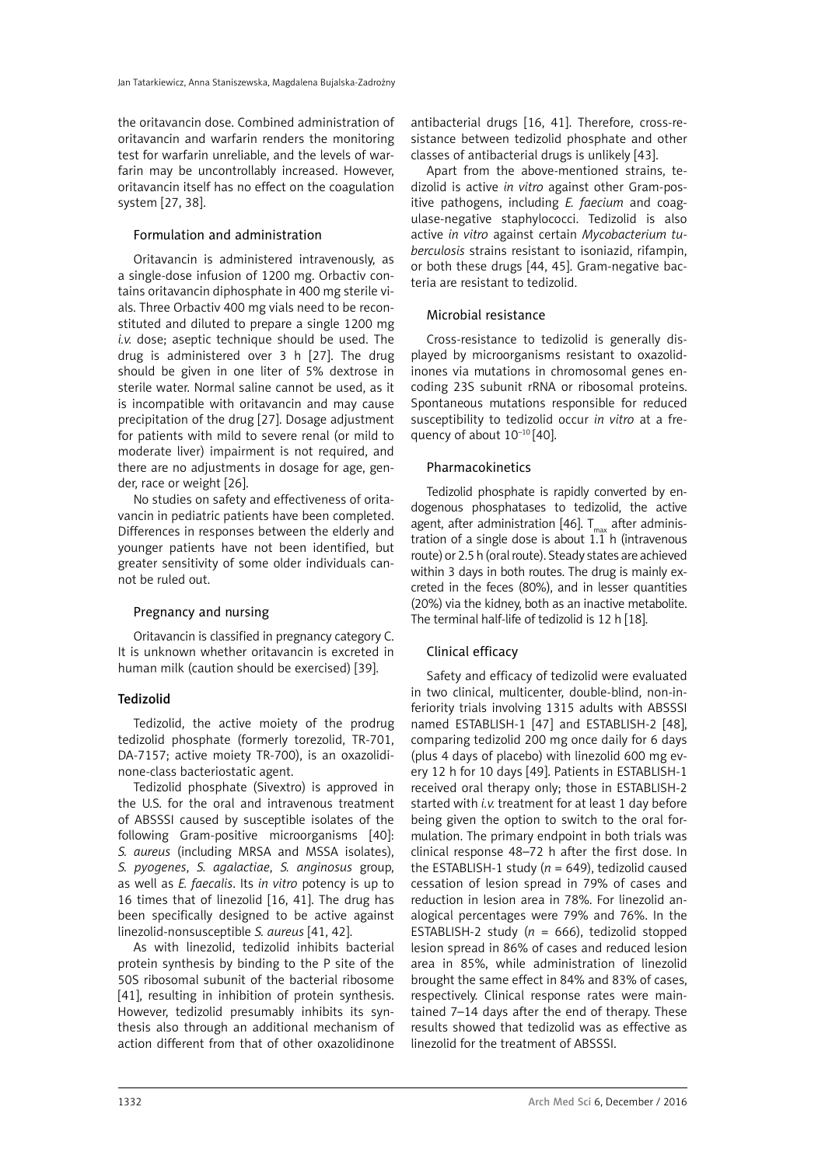the oritavancin dose. Combined administration of oritavancin and warfarin renders the monitoring test for warfarin unreliable, and the levels of warfarin may be uncontrollably increased. However, oritavancin itself has no effect on the coagulation system [27, 38].

## Formulation and administration

Oritavancin is administered intravenously, as a single-dose infusion of 1200 mg. Orbactiv contains oritavancin diphosphate in 400 mg sterile vials. Three Orbactiv 400 mg vials need to be reconstituted and diluted to prepare a single 1200 mg *i.v.* dose; aseptic technique should be used. The drug is administered over 3 h [27]. The drug should be given in one liter of 5% dextrose in sterile water. Normal saline cannot be used, as it is incompatible with oritavancin and may cause precipitation of the drug [27]. Dosage adjustment for patients with mild to severe renal (or mild to moderate liver) impairment is not required, and there are no adjustments in dosage for age, gender, race or weight [26].

No studies on safety and effectiveness of oritavancin in pediatric patients have been completed. Differences in responses between the elderly and younger patients have not been identified, but greater sensitivity of some older individuals cannot be ruled out.

## Pregnancy and nursing

Oritavancin is classified in pregnancy category C. It is unknown whether oritavancin is excreted in human milk (caution should be exercised) [39].

# Tedizolid

Tedizolid, the active moiety of the prodrug tedizolid phosphate (formerly torezolid, TR-701, DA-7157; active moiety TR-700), is an oxazolidinone-class bacteriostatic agent.

Tedizolid phosphate (Sivextro) is approved in the U.S. for the oral and intravenous treatment of ABSSSI caused by susceptible isolates of the following Gram-positive microorganisms [40]: *S. aureus* (including MRSA and MSSA isolates), *S. pyogenes*, *S. agalactiae*, *S. anginosus* group, as well as *E. faecalis*. Its *in vitro* potency is up to 16 times that of linezolid [16, 41]. The drug has been specifically designed to be active against linezolid-nonsusceptible *S. aureus* [41, 42].

As with linezolid, tedizolid inhibits bacterial protein synthesis by binding to the P site of the 50S ribosomal subunit of the bacterial ribosome [41], resulting in inhibition of protein synthesis. However, tedizolid presumably inhibits its synthesis also through an additional mechanism of action different from that of other oxazolidinone

antibacterial drugs [16, 41]. Therefore, cross-resistance between tedizolid phosphate and other classes of antibacterial drugs is unlikely [43].

Apart from the above-mentioned strains, tedizolid is active *in vitro* against other Gram-positive pathogens, including *E. faecium* and coagulase-negative staphylococci. Tedizolid is also active *in vitro* against certain *Mycobacterium tuberculosis* strains resistant to isoniazid, rifampin, or both these drugs [44, 45]. Gram-negative bacteria are resistant to tedizolid.

# Microbial resistance

Cross-resistance to tedizolid is generally displayed by microorganisms resistant to oxazolidinones via mutations in chromosomal genes encoding 23S subunit rRNA or ribosomal proteins. Spontaneous mutations responsible for reduced susceptibility to tedizolid occur *in vitro* at a frequency of about 10–10 [40].

# Pharmacokinetics

Tedizolid phosphate is rapidly converted by endogenous phosphatases to tedizolid, the active agent, after administration [46].  $T_{max}$  after administration of a single dose is about  $1.1$  h (intravenous route) or 2.5 h (oral route). Steady states are achieved within 3 days in both routes. The drug is mainly excreted in the feces (80%), and in lesser quantities (20%) via the kidney, both as an inactive metabolite. The terminal half-life of tedizolid is 12 h [18].

# Clinical efficacy

Safety and efficacy of tedizolid were evaluated in two clinical, multicenter, double-blind, non-inferiority trials involving 1315 adults with ABSSSI named ESTABLISH-1 [47] and ESTABLISH-2 [48], comparing tedizolid 200 mg once daily for 6 days (plus 4 days of placebo) with linezolid 600 mg every 12 h for 10 days [49]. Patients in ESTABLISH-1 received oral therapy only; those in ESTABLISH-2 started with *i.v.* treatment for at least 1 day before being given the option to switch to the oral formulation. The primary endpoint in both trials was clinical response 48–72 h after the first dose. In the ESTABLISH-1 study  $(n = 649)$ , tedizolid caused cessation of lesion spread in 79% of cases and reduction in lesion area in 78%. For linezolid analogical percentages were 79% and 76%. In the ESTABLISH-2 study ( $n = 666$ ), tedizolid stopped lesion spread in 86% of cases and reduced lesion area in 85%, while administration of linezolid brought the same effect in 84% and 83% of cases, respectively. Clinical response rates were maintained 7–14 days after the end of therapy. These results showed that tedizolid was as effective as linezolid for the treatment of ABSSSI.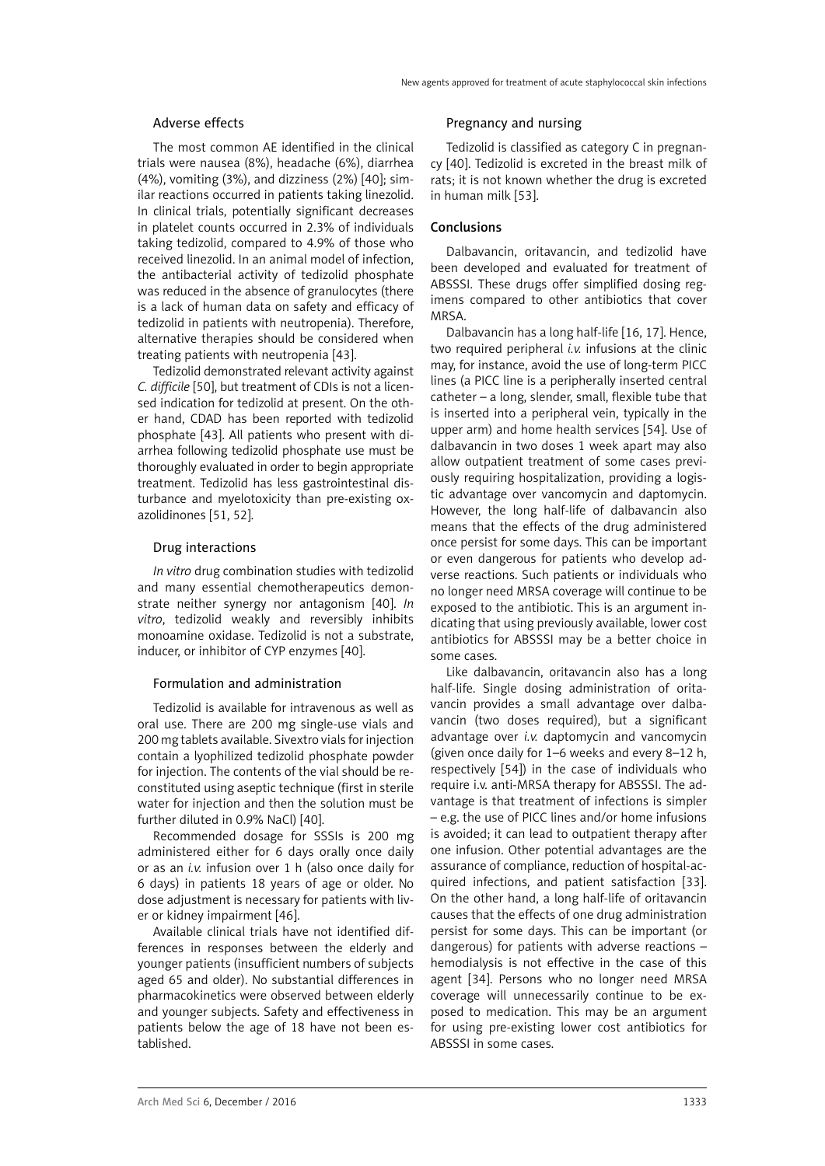#### Adverse effects

The most common AE identified in the clinical trials were nausea (8%), headache (6%), diarrhea (4%), vomiting (3%), and dizziness (2%) [40]; similar reactions occurred in patients taking linezolid. In clinical trials, potentially significant decreases in platelet counts occurred in 2.3% of individuals taking tedizolid, compared to 4.9% of those who received linezolid. In an animal model of infection, the antibacterial activity of tedizolid phosphate was reduced in the absence of granulocytes (there is a lack of human data on safety and efficacy of tedizolid in patients with neutropenia). Therefore, alternative therapies should be considered when treating patients with neutropenia [43].

Tedizolid demonstrated relevant activity against *C. difficile* [50], but treatment of CDIs is not a licensed indication for tedizolid at present. On the other hand, CDAD has been reported with tedizolid phosphate [43]. All patients who present with diarrhea following tedizolid phosphate use must be thoroughly evaluated in order to begin appropriate treatment. Tedizolid has less gastrointestinal disturbance and myelotoxicity than pre-existing oxazolidinones [51, 52].

#### Drug interactions

*In vitro* drug combination studies with tedizolid and many essential chemotherapeutics demonstrate neither synergy nor antagonism [40]. *In vitro*, tedizolid weakly and reversibly inhibits monoamine oxidase. Tedizolid is not a substrate, inducer, or inhibitor of CYP enzymes [40].

#### Formulation and administration

Tedizolid is available for intravenous as well as oral use. There are 200 mg single-use vials and 200 mg tablets available. Sivextro vials for injection contain a lyophilized tedizolid phosphate powder for injection. The contents of the vial should be reconstituted using aseptic technique (first in sterile water for injection and then the solution must be further diluted in 0.9% NaCl) [40].

Recommended dosage for SSSIs is 200 mg administered either for 6 days orally once daily or as an *i.v.* infusion over 1 h (also once daily for 6 days) in patients 18 years of age or older. No dose adjustment is necessary for patients with liver or kidney impairment [46].

Available clinical trials have not identified differences in responses between the elderly and younger patients (insufficient numbers of subjects aged 65 and older). No substantial differences in pharmacokinetics were observed between elderly and younger subjects. Safety and effectiveness in patients below the age of 18 have not been established.

#### Pregnancy and nursing

Tedizolid is classified as category C in pregnancy [40]. Tedizolid is excreted in the breast milk of rats; it is not known whether the drug is excreted in human milk [53].

## Conclusions

Dalbavancin, oritavancin, and tedizolid have been developed and evaluated for treatment of ABSSSI. These drugs offer simplified dosing regimens compared to other antibiotics that cover **MRSA** 

Dalbavancin has a long half-life [16, 17]. Hence, two required peripheral *i.v.* infusions at the clinic may, for instance, avoid the use of long-term PICC lines (a PICC line is a peripherally inserted central catheter – a long, slender, small, flexible tube that is inserted into a peripheral vein, typically in the upper arm) and home health services [54]. Use of dalbavancin in two doses 1 week apart may also allow outpatient treatment of some cases previously requiring hospitalization, providing a logistic advantage over vancomycin and daptomycin. However, the long half-life of dalbavancin also means that the effects of the drug administered once persist for some days. This can be important or even dangerous for patients who develop adverse reactions. Such patients or individuals who no longer need MRSA coverage will continue to be exposed to the antibiotic. This is an argument indicating that using previously available, lower cost antibiotics for ABSSSI may be a better choice in some cases.

Like dalbavancin, oritavancin also has a long half-life. Single dosing administration of oritavancin provides a small advantage over dalbavancin (two doses required), but a significant advantage over *i.v.* daptomycin and vancomycin (given once daily for 1–6 weeks and every 8–12 h, respectively [54]) in the case of individuals who require i.v. anti-MRSA therapy for ABSSSI. The advantage is that treatment of infections is simpler – e.g. the use of PICC lines and/or home infusions is avoided; it can lead to outpatient therapy after one infusion. Other potential advantages are the assurance of compliance, reduction of hospital-acquired infections, and patient satisfaction [33]. On the other hand, a long half-life of oritavancin causes that the effects of one drug administration persist for some days. This can be important (or dangerous) for patients with adverse reactions – hemodialysis is not effective in the case of this agent [34]. Persons who no longer need MRSA coverage will unnecessarily continue to be exposed to medication. This may be an argument for using pre-existing lower cost antibiotics for ABSSSI in some cases.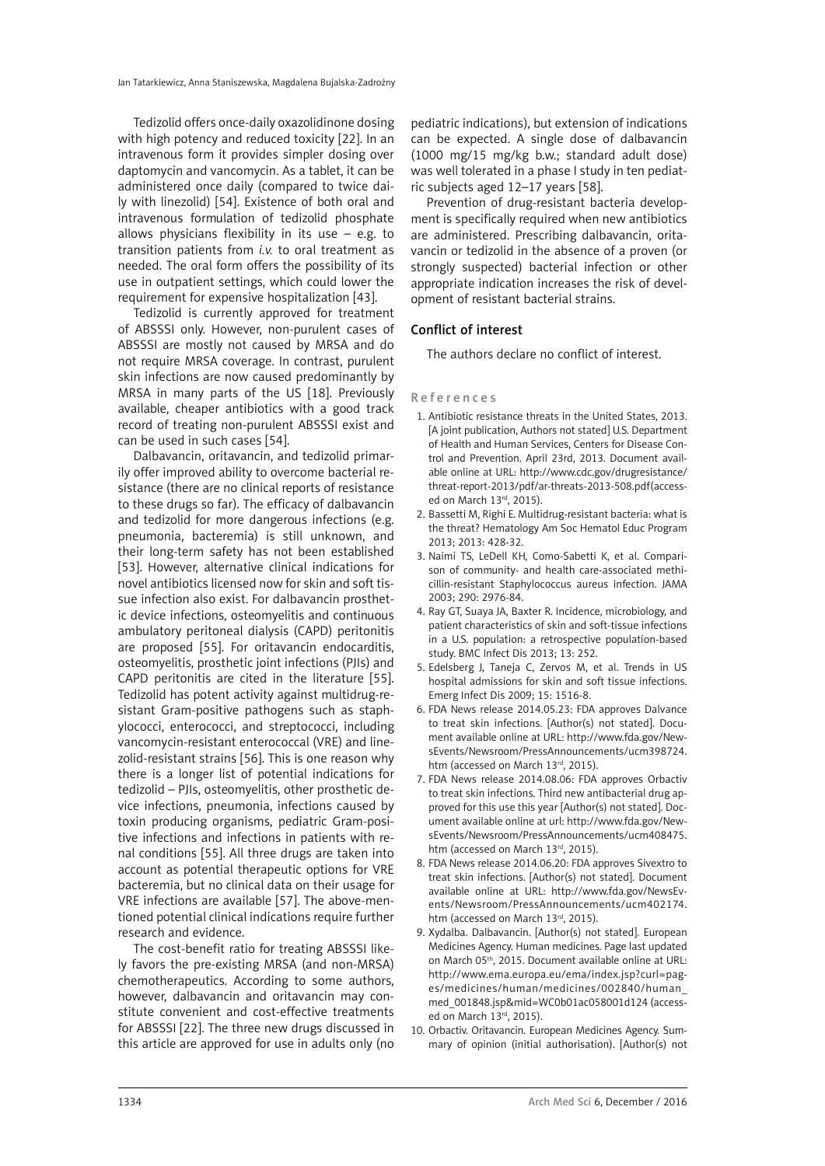Tedizolid offers once-daily oxazolidinone dosing with high potency and reduced toxicity [22]. In an intravenous form it provides simpler dosing over daptomycin and vancomycin. As a tablet, it can be administered once daily (compared to twice daily with linezolid) [54]. Existence of both oral and intravenous formulation of tedizolid phosphate allows physicians flexibility in its use  $-$  e.g. to transition patients from *i.v.* to oral treatment as needed. The oral form offers the possibility of its use in outpatient settings, which could lower the requirement for expensive hospitalization [43].

Tedizolid is currently approved for treatment of ABSSSI only. However, non-purulent cases of ABSSSI are mostly not caused by MRSA and do not require MRSA coverage. In contrast, purulent skin infections are now caused predominantly by MRSA in many parts of the US [18]. Previously available, cheaper antibiotics with a good track record of treating non-purulent ABSSSI exist and can be used in such cases [54].

Dalbavancin, oritavancin, and tedizolid primarily offer improved ability to overcome bacterial resistance (there are no clinical reports of resistance to these drugs so far). The efficacy of dalbavancin and tedizolid for more dangerous infections (e.g. pneumonia, bacteremia) is still unknown, and their long-term safety has not been established [53]. However, alternative clinical indications for novel antibiotics licensed now for skin and soft tissue infection also exist. For dalbavancin prosthetic device infections, osteomyelitis and continuous ambulatory peritoneal dialysis (CAPD) peritonitis are proposed [55]. For oritavancin endocarditis, osteomyelitis, prosthetic joint infections (PJIs) and CAPD peritonitis are cited in the literature [55]. Tedizolid has potent activity against multidrug-resistant Gram-positive pathogens such as staphylococci, enterococci, and streptococci, including vancomycin-resistant enterococcal (VRE) and linezolid-resistant strains [56]. This is one reason why there is a longer list of potential indications for tedizolid – PJIs, osteomyelitis, other prosthetic device infections, pneumonia, infections caused by toxin producing organisms, pediatric Gram-positive infections and infections in patients with renal conditions [55]. All three drugs are taken into account as potential therapeutic options for VRE bacteremia, but no clinical data on their usage for VRE infections are available [57]. The above-mentioned potential clinical indications require further research and evidence.

The cost-benefit ratio for treating ABSSSI likely favors the pre-existing MRSA (and non-MRSA) chemotherapeutics. According to some authors, however, dalbavancin and oritavancin may constitute convenient and cost-effective treatments for ABSSSI [22]. The three new drugs discussed in this article are approved for use in adults only (no pediatric indications), but extension of indications can be expected. A single dose of dalbavancin (1000 mg/15 mg/kg b.w.; standard adult dose) was well tolerated in a phase I study in ten pediatric subjects aged 12–17 years [58].

Prevention of drug-resistant bacteria development is specifically required when new antibiotics are administered. Prescribing dalbavancin, oritavancin or tedizolid in the absence of a proven (or strongly suspected) bacterial infection or other appropriate indication increases the risk of development of resistant bacterial strains.

# Conflict of interest

The authors declare no conflict of interest.

#### R e f e r e n c e s

- 1. Antibiotic resistance threats in the United States, 2013. [A joint publication, Authors not stated] U.S. Department of Health and Human Services, Centers for Disease Control and Prevention. April 23rd, 2013. Document available online at URL: http://www.cdc.gov/drugresistance/ threat-report-2013/pdf/ar-threats-2013-508.pdf (accessed on March 13rd, 2015).
- 2. Bassetti M, Righi E. Multidrug-resistant bacteria: what is the threat? Hematology Am Soc Hematol Educ Program 2013; 2013: 428-32.
- 3. Naimi TS, LeDell KH, Como-Sabetti K, et al. Comparison of community- and health care-associated methicillin-resistant Staphylococcus aureus infection. JAMA 2003; 290: 2976-84.
- 4. Ray GT, Suaya JA, Baxter R. Incidence, microbiology, and patient characteristics of skin and soft-tissue infections in a U.S. population: a retrospective population-based study. BMC Infect Dis 2013; 13: 252.
- 5. Edelsberg J, Taneja C, Zervos M, et al. Trends in US hospital admissions for skin and soft tissue infections. Emerg Infect Dis 2009; 15: 1516-8.
- 6. FDA News release 2014.05.23: FDA approves Dalvance to treat skin infections. [Author(s) not stated]. Document available online at URL: http://www.fda.gov/NewsEvents/Newsroom/PressAnnouncements/ucm398724. htm (accessed on March 13rd, 2015).
- 7. FDA News release 2014.08.06: FDA approves Orbactiv to treat skin infections. Third new antibacterial drug approved for this use this year [Author(s) not stated]. Document available online at url: http://www.fda.gov/NewsEvents/Newsroom/PressAnnouncements/ucm408475. htm (accessed on March 13rd, 2015).
- 8. FDA News release 2014.06.20: FDA approves Sivextro to treat skin infections. [Author(s) not stated]. Document available online at URL: http://www.fda.gov/NewsEvents/Newsroom/PressAnnouncements/ucm402174. htm (accessed on March 13rd, 2015).
- 9. Xydalba. Dalbavancin. [Author(s) not stated]. European Medicines Agency. Human medicines. Page last updated on March 05th, 2015. Document available online at URL: http://www.ema.europa.eu/ema/index.jsp?curl=pages/medicines/human/medicines/002840/human\_ med\_001848.jsp&mid=WC0b01ac058001d124 (accessed on March 13rd, 2015).
- 10. Orbactiv. Oritavancin. European Medicines Agency. Summary of opinion (initial authorisation). [Author(s) not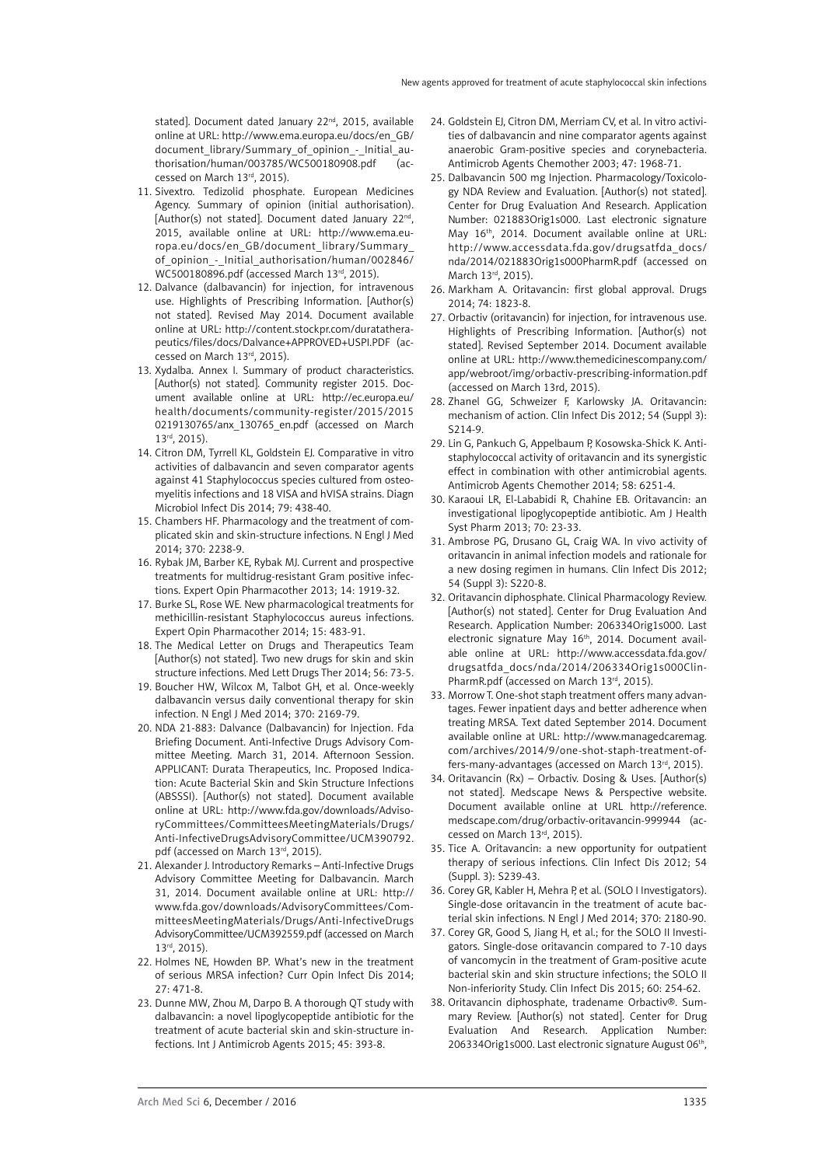stated]. Document dated January 22<sup>nd</sup>, 2015, available online at URL: http://www.ema.europa.eu/docs/en\_GB/ document\_library/Summary\_of\_opinion\_-\_Initial\_authorisation/human/003785/WC500180908.pdf (accessed on March 13rd, 2015).

- 11. Sivextro. Tedizolid phosphate. European Medicines Agency. Summary of opinion (initial authorisation). [Author(s) not stated]. Document dated January 22<sup>nd</sup>, 2015, available online at URL: http://www.ema.europa.eu/docs/en\_GB/document\_library/Summary\_ of opinion - Initial authorisation/human/002846/ WC500180896.pdf (accessed March 13rd, 2015).
- 12. Dalvance (dalbavancin) for injection, for intravenous use. Highlights of Prescribing Information. [Author(s) not stated]. Revised May 2014. Document available online at URL: http://content.stockpr.com/duratatherapeutics/files/docs/Dalvance+APPROVED+USPI.PDF (accessed on March 13rd, 2015).
- 13. Xydalba. Annex I. Summary of product characteristics. [Author(s) not stated]. Community register 2015. Document available online at URL: http://ec.europa.eu/ health/documents/community-register/2015/2015 0219130765/anx\_130765\_en.pdf (accessed on March 13rd, 2015).
- 14. Citron DM, Tyrrell KL, Goldstein EJ. Comparative in vitro activities of dalbavancin and seven comparator agents against 41 Staphylococcus species cultured from osteomyelitis infections and 18 VISA and hVISA strains. Diagn Microbiol Infect Dis 2014; 79: 438-40.
- 15. Chambers HF. Pharmacology and the treatment of complicated skin and skin-structure infections. N Engl J Med 2014; 370: 2238-9.
- 16. Rybak JM, Barber KE, Rybak MJ. Current and prospective treatments for multidrug-resistant Gram positive infections. Expert Opin Pharmacother 2013; 14: 1919-32.
- 17. Burke SL, Rose WE. New pharmacological treatments for methicillin-resistant Staphylococcus aureus infections. Expert Opin Pharmacother 2014; 15: 483-91.
- 18. The Medical Letter on Drugs and Therapeutics Team [Author(s) not stated]. Two new drugs for skin and skin structure infections. Med Lett Drugs Ther 2014; 56: 73-5.
- 19. Boucher HW, Wilcox M, Talbot GH, et al. Once-weekly dalbavancin versus daily conventional therapy for skin infection. N Engl J Med 2014; 370: 2169-79.
- 20. NDA 21-883: Dalvance (Dalbavancin) for Injection. Fda Briefing Document. Anti-Infective Drugs Advisory Committee Meeting. March 31, 2014. Afternoon Session. APPLICANT: Durata Therapeutics, Inc. Proposed Indication: Acute Bacterial Skin and Skin Structure Infections (ABSSSI). [Author(s) not stated]. Document available online at URL: http://www.fda.gov/downloads/AdvisoryCommittees/CommitteesMeetingMaterials/Drugs/ Anti-InfectiveDrugsAdvisoryCommittee/UCM390792. pdf (accessed on March 13rd, 2015).
- 21. Alexander J. Introductory Remarks Anti-Infective Drugs Advisory Committee Meeting for Dalbavancin. March 31, 2014. Document available online at URL: http:// www.fda.gov/downloads/AdvisoryCommittees/CommitteesMeetingMaterials/Drugs/Anti-InfectiveDrugs AdvisoryCommittee/UCM392559.pdf (accessed on March 13rd, 2015).
- 22. Holmes NE, Howden BP. What's new in the treatment of serious MRSA infection? Curr Opin Infect Dis 2014; 27: 471-8.
- 23. Dunne MW, Zhou M, Darpo B. A thorough QT study with dalbavancin: a novel lipoglycopeptide antibiotic for the treatment of acute bacterial skin and skin-structure infections. Int J Antimicrob Agents 2015; 45: 393-8.
- 24. Goldstein EL Citron DM, Merriam CV et al. In vitro activities of dalbavancin and nine comparator agents against anaerobic Gram-positive species and corynebacteria. Antimicrob Agents Chemother 2003; 47: 1968-71.
- 25. Dalbavancin 500 mg Injection. Pharmacology/Toxicology NDA Review and Evaluation. [Author(s) not stated]. Center for Drug Evaluation And Research. Application Number: 021883Orig1s000. Last electronic signature May 16th, 2014. Document available online at URL: http://www.accessdata.fda.gov/drugsatfda\_docs/ nda/2014/021883Orig1s000PharmR.pdf (accessed on March 13rd, 2015).
- 26. Markham A. Oritavancin: first global approval. Drugs 2014; 74: 1823-8.
- 27. Orbactiv (oritavancin) for injection, for intravenous use. Highlights of Prescribing Information. [Author(s) not stated]. Revised September 2014. Document available online at URL: http://www.themedicinescompany.com/ app/webroot/img/orbactiv-prescribing-information.pdf (accessed on March 13rd, 2015).
- 28. Zhanel GG, Schweizer F, Karlowsky JA. Oritavancin: mechanism of action. Clin Infect Dis 2012; 54 (Suppl 3): S214-9.
- 29. Lin G, Pankuch G, Appelbaum P, Kosowska-Shick K. Antistaphylococcal activity of oritavancin and its synergistic effect in combination with other antimicrobial agents. Antimicrob Agents Chemother 2014; 58: 6251-4.
- 30. Karaoui LR, El-Lababidi R, Chahine EB. Oritavancin: an investigational lipoglycopeptide antibiotic. Am J Health Syst Pharm 2013; 70: 23-33.
- 31. Ambrose PG, Drusano GL, Craig WA. In vivo activity of oritavancin in animal infection models and rationale for a new dosing regimen in humans. Clin Infect Dis 2012; 54 (Suppl 3): S220-8.
- 32. Oritavancin diphosphate. Clinical Pharmacology Review. [Author(s) not stated]. Center for Drug Evaluation And Research. Application Number: 206334Orig1s000. Last electronic signature May 16<sup>th</sup>, 2014. Document available online at URL: http://www.accessdata.fda.gov/ drugsatfda\_docs/nda/2014/206334Orig1s000Clin-PharmR.pdf (accessed on March 13rd, 2015).
- 33. Morrow T. One-shot staph treatment offers many advantages. Fewer inpatient days and better adherence when treating MRSA. Text dated September 2014. Document available online at URL: http://www.managedcaremag. com/archives/2014/9/one-shot-staph-treatment-offers-many-advantages (accessed on March 13rd, 2015).
- 34. Oritavancin (Rx) Orbactiv. Dosing & Uses. [Author(s) not stated]. Medscape News & Perspective website. Document available online at URL http://reference. medscape.com/drug/orbactiv-oritavancin-999944 (accessed on March 13rd, 2015).
- 35. Tice A. Oritavancin: a new opportunity for outpatient therapy of serious infections. Clin Infect Dis 2012; 54 (Suppl. 3): S239-43.
- 36. Corey GR, Kabler H, Mehra P, et al. (SOLO I Investigators). Single-dose oritavancin in the treatment of acute bacterial skin infections. N Engl J Med 2014; 370: 2180-90.
- 37. Corey GR, Good S, Jiang H, et al.; for the SOLO II Investigators. Single-dose oritavancin compared to 7-10 days of vancomycin in the treatment of Gram-positive acute bacterial skin and skin structure infections; the SOLO II Non-inferiority Study. Clin Infect Dis 2015; 60: 254-62.
- 38. Oritavancin diphosphate, tradename Orbactiv®. Summary Review. [Author(s) not stated]. Center for Drug Evaluation And Research. Application Number: 206334Orig1s000. Last electronic signature August 06<sup>th</sup>,